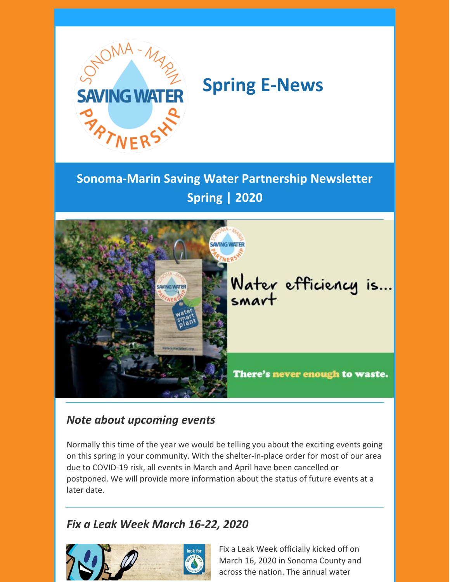

# **Spring E-News**

**Sonoma-Marin Saving Water Partnership Newsletter Spring | 2020**



# *Note about upcoming events*

Normally this time of the year we would be telling you about the exciting events going on this spring in your community. With the shelter-in-place order for most of our area due to COVID-19 risk, all events in March and April have been cancelled or postponed. We will provide more information about the status of future events at a later date.

# *Fix a Leak Week March 16-22, 2020*



Fix a Leak Week officially kicked off on March 16, 2020 in Sonoma County and across the nation. The annual water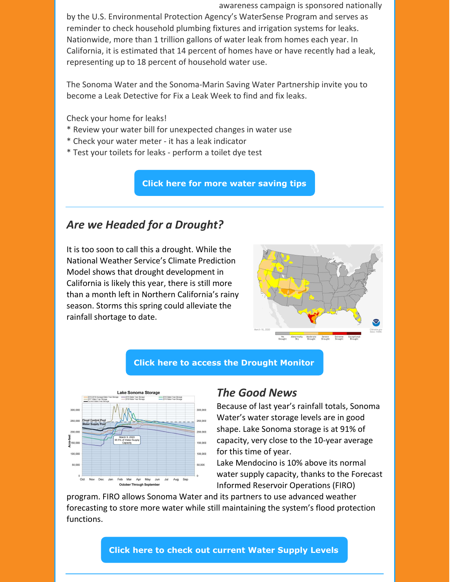awareness campaign is sponsored nationally

by the U.S. Environmental Protection Agency's WaterSense Program and serves as reminder to check household plumbing fixtures and irrigation systems for leaks. Nationwide, more than 1 trillion gallons of water leak from homes each year. In California, it is estimated that 14 percent of homes have or have recently had a leak, representing up to 18 percent of household water use.

The Sonoma Water and the Sonoma-Marin Saving Water Partnership invite you to become a Leak Detective for Fix a Leak Week to find and fix leaks.

Check your home for leaks!

- \* Review your water bill for unexpected changes in water use
- \* Check your water meter it has a leak indicator
- \* Test your toilets for leaks perform a toilet dye test

**Click here for more water [saving](http://www.savingwaterpartnership.org/falw/) tips**

### *Are we Headed for a Drought?*

It is too soon to call this a drought. While the National Weather Service's Climate Prediction Model shows that drought development in California is likely this year, there is still more than a month left in Northern California's rainy season. Storms this spring could alleviate the rainfall shortage to date.



#### **Click here to access the [Drought](https://www.climate.gov/maps-data/data-snapshots/data-source-drought-monitor) Monitor**



#### *The Good News*

Because of last year's rainfall totals, Sonoma Water's water storage levels are in good shape. Lake Sonoma storage is at 91% of capacity, very close to the 10-year average for this time of year.

Lake Mendocino is 10% above its normal water supply capacity, thanks to the Forecast Informed Reservoir Operations (FIRO)

program. FIRO allows Sonoma Water and its partners to use advanced weather forecasting to store more water while still maintaining the system's flood protection functions.

**Click here to check out [current](https://www.sonomawater.org/current-water-supply-levels) Water Supply Levels**